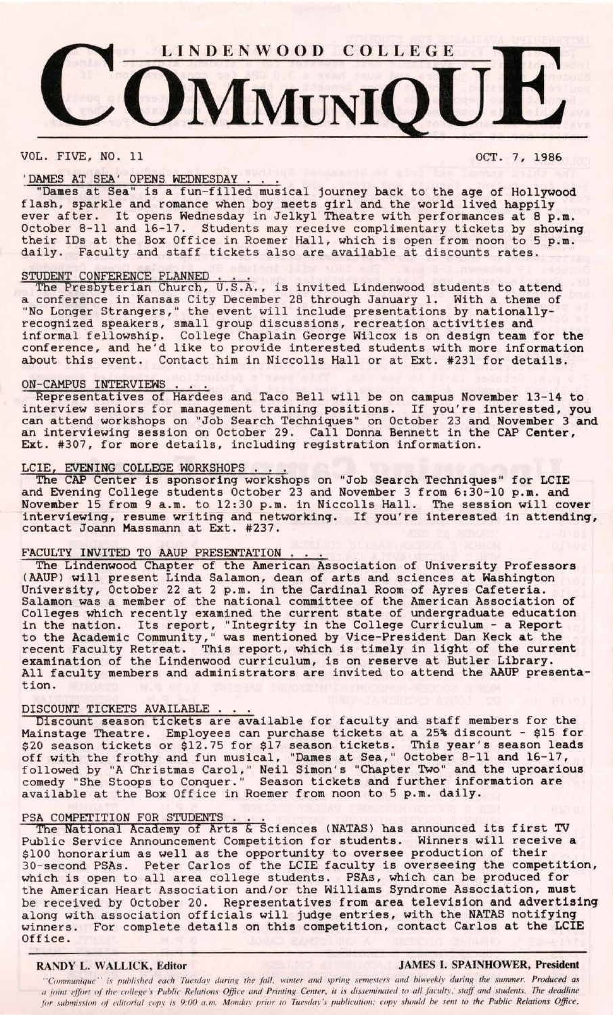

VOL. FIVE, NO. 11 OCT. 7, 1986

## 'DAMES AT SEA' OPENS WEDNESDAY

"Dames at Sea" is a fun-filled musical journey back to the age of Hollywood flash, sparkle and romance when boy meets girl and the world lived happily ever after. It opens Wednesday in Jelkyl Theatre with performances at 8 p.m. October 8-11 and 16-17. Students may receive complimentary tickets by showing their IDs at the Box Office in Roemer Hall, which is open from noon to 5 **p.m.**  daily. Faculty and staff tickets also are available at discounts rates.

STUDENT CONFERENCE PLANNED . ... The Presbyterian Church, U.S.A., is invited Lindenwood students to attend a conference in Kansas City December 28 through January 1. With a theme of "No Longer Strangers," the event will include presentations by nationallyrecognized speakers, small group discussions, recreation activities and informal fellowship. College Chaplain George Wilcox is on design team for the conference, and he'd like to provide interested students with more information about this event. Contact him in Niccolls Hall or at Ext. #231 for details.

ON-CAMPUS INTERVIEWS ... Representatives of Hardees and Taco Bell will be on campus November 13-14 to interview seniors for management training positions. If you're interested, you can attend workshops on "Job Search Techniques" on October 23 and **November** 3 and an interviewing session on October 29. Call Donna Bennett in the CAP Center, Ext. #307, for more details, including registration information.

LCIE, EVENING COLLEGE WORKSHOPS ... The CAP Center is sponsoring workshops on "Job Search Techniques" for LCIE and Evening College students October 23 and November 3 from 6:30-10 p.m. and November 15 from 9 a.m. to 12:30 p.m. in Niccolls Hall. The session will **cover**  interviewing, resume writing and networking. If you're interested in attending, contact Joann Massmann at Ext. #237.

FACULTY INVITED TO AAUP PRESENTATION . . .<br>The Lindenwood Chapter of the American Association of University Professors (AAUP) will present Linda Salamon, dean of arts and sciences at Washington University, October 22 at 2 p.m. in the Cardinal Room of Ayres Cafeteria. Salamon was a member of the national committee of the American Association of Colleges which recently examined the current state of undergraduate education in the nation. Its report, "Integrity in the College Curriculum - a Report to the Academic Community," was mentioned by Vice-President Dan Keck at the recent Faculty Retreat. This report, which is timely in light of the current examination of the Lindenwood curriculum, is on reserve at Butler Library. All faculty members and administrators are invited to attend the AAUP presentation.

DISCOUNT TICKETS AVAILABLE . . .<br>Discount season tickets are available for faculty and staff members for the Mainstage Theatre. Employees can purchase tickets at a 25% discount - \$15 for \$20 season tickets or \$12.75 for \$17 season tickets. This year's season leads off with the frothy and fun musical, "Dames at Sea," October 8-11 and 16-17, followed by "A Christmas Carol," Neil Simon's "Chapter Two" and the uproarious comedy "She Stoops to Conquer." Season tickets and further information are available at the Box Office in Roemer from noon to 5 p.m. daily.

PSA COMPETITION FOR STUDENTS . . . .<br>The National Academy of Arts & Sciences (NATAS) has announced its first TV Public Service Announcement Competition for students. Winners will receive a \$100 honorarium as well as the opportunity to oversee production of their 30-second PSAs. Peter Carlos of the LCIE faculty is overseeing the competition, which is open to all area college students. PSAs, which can be produced for the American Heart Association and/or the Williams Syndrome Association, must be received by October 20. Representatives from area television and advertising along with association officials will judge entries, with the NATAS notifying winners. For complete details on this competition, contact Carlos at the LCIE Office.

## **RANDY L. WALLICK, Editor JAMES I. SPAINHOWER, President**

"Communique" is published each Tuesday during the fall, winter and spring semesters and biweekly during the summer. Produced as *<I joint eff ort of the college's Public Relations Office and Printing Center, it is disseminated to all faculty, · staff and students. The deadline*  for submission of editorial copy is 9:00 a.m. Monday prior to Tuesday's publication; copy should be sent to the Public Relations Office,